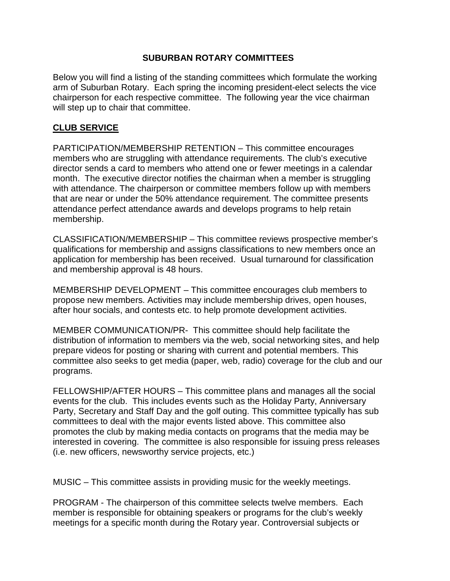### **SUBURBAN ROTARY COMMITTEES**

Below you will find a listing of the standing committees which formulate the working arm of Suburban Rotary. Each spring the incoming president-elect selects the vice chairperson for each respective committee. The following year the vice chairman will step up to chair that committee.

### **CLUB SERVICE**

PARTICIPATION/MEMBERSHIP RETENTION – This committee encourages members who are struggling with attendance requirements. The club's executive director sends a card to members who attend one or fewer meetings in a calendar month. The executive director notifies the chairman when a member is struggling with attendance. The chairperson or committee members follow up with members that are near or under the 50% attendance requirement. The committee presents attendance perfect attendance awards and develops programs to help retain membership.

CLASSIFICATION/MEMBERSHIP – This committee reviews prospective member's qualifications for membership and assigns classifications to new members once an application for membership has been received. Usual turnaround for classification and membership approval is 48 hours.

MEMBERSHIP DEVELOPMENT – This committee encourages club members to propose new members. Activities may include membership drives, open houses, after hour socials, and contests etc. to help promote development activities.

MEMBER COMMUNICATION/PR- This committee should help facilitate the distribution of information to members via the web, social networking sites, and help prepare videos for posting or sharing with current and potential members. This committee also seeks to get media (paper, web, radio) coverage for the club and our programs.

FELLOWSHIP/AFTER HOURS – This committee plans and manages all the social events for the club. This includes events such as the Holiday Party, Anniversary Party, Secretary and Staff Day and the golf outing. This committee typically has sub committees to deal with the major events listed above. This committee also promotes the club by making media contacts on programs that the media may be interested in covering. The committee is also responsible for issuing press releases (i.e. new officers, newsworthy service projects, etc.)

MUSIC – This committee assists in providing music for the weekly meetings.

PROGRAM - The chairperson of this committee selects twelve members. Each member is responsible for obtaining speakers or programs for the club's weekly meetings for a specific month during the Rotary year. Controversial subjects or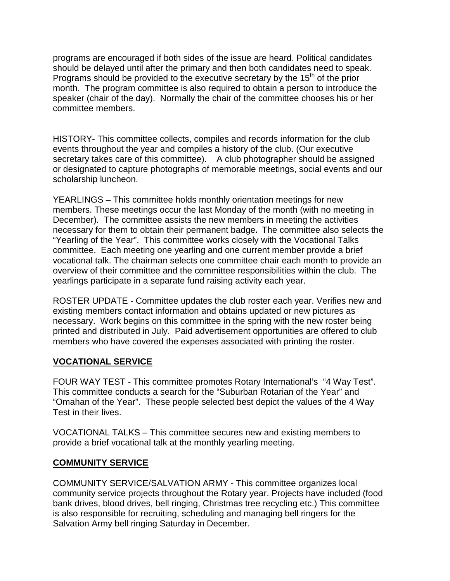programs are encouraged if both sides of the issue are heard. Political candidates should be delayed until after the primary and then both candidates need to speak. Programs should be provided to the executive secretary by the 15<sup>th</sup> of the prior month. The program committee is also required to obtain a person to introduce the speaker (chair of the day). Normally the chair of the committee chooses his or her committee members.

HISTORY- This committee collects, compiles and records information for the club events throughout the year and compiles a history of the club. (Our executive secretary takes care of this committee). A club photographer should be assigned or designated to capture photographs of memorable meetings, social events and our scholarship luncheon.

YEARLINGS – This committee holds monthly orientation meetings for new members. These meetings occur the last Monday of the month (with no meeting in December). The committee assists the new members in meeting the activities necessary for them to obtain their permanent badge**.** The committee also selects the "Yearling of the Year". This committee works closely with the Vocational Talks committee. Each meeting one yearling and one current member provide a brief vocational talk. The chairman selects one committee chair each month to provide an overview of their committee and the committee responsibilities within the club. The yearlings participate in a separate fund raising activity each year.

ROSTER UPDATE - Committee updates the club roster each year. Verifies new and existing members contact information and obtains updated or new pictures as necessary. Work begins on this committee in the spring with the new roster being printed and distributed in July. Paid advertisement opportunities are offered to club members who have covered the expenses associated with printing the roster.

#### **VOCATIONAL SERVICE**

FOUR WAY TEST - This committee promotes Rotary International's "4 Way Test". This committee conducts a search for the "Suburban Rotarian of the Year" and "Omahan of the Year". These people selected best depict the values of the 4 Way Test in their lives.

VOCATIONAL TALKS – This committee secures new and existing members to provide a brief vocational talk at the monthly yearling meeting.

#### **COMMUNITY SERVICE**

COMMUNITY SERVICE/SALVATION ARMY - This committee organizes local community service projects throughout the Rotary year. Projects have included (food bank drives, blood drives, bell ringing, Christmas tree recycling etc.) This committee is also responsible for recruiting, scheduling and managing bell ringers for the Salvation Army bell ringing Saturday in December.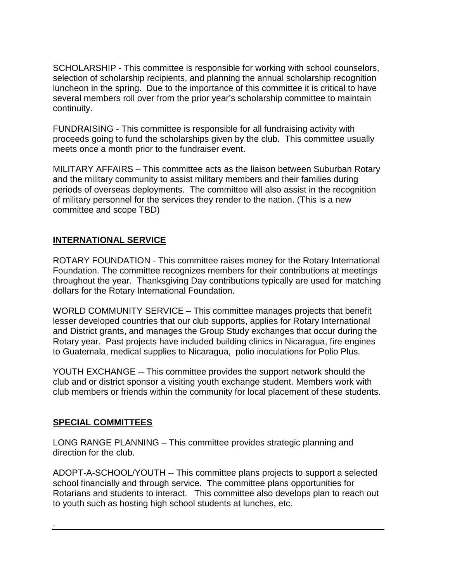SCHOLARSHIP - This committee is responsible for working with school counselors, selection of scholarship recipients, and planning the annual scholarship recognition luncheon in the spring. Due to the importance of this committee it is critical to have several members roll over from the prior year's scholarship committee to maintain continuity.

FUNDRAISING - This committee is responsible for all fundraising activity with proceeds going to fund the scholarships given by the club. This committee usually meets once a month prior to the fundraiser event.

MILITARY AFFAIRS – This committee acts as the liaison between Suburban Rotary and the military community to assist military members and their families during periods of overseas deployments. The committee will also assist in the recognition of military personnel for the services they render to the nation. (This is a new committee and scope TBD)

# **INTERNATIONAL SERVICE**

ROTARY FOUNDATION - This committee raises money for the Rotary International Foundation. The committee recognizes members for their contributions at meetings throughout the year. Thanksgiving Day contributions typically are used for matching dollars for the Rotary International Foundation.

WORLD COMMUNITY SERVICE – This committee manages projects that benefit lesser developed countries that our club supports, applies for Rotary International and District grants, and manages the Group Study exchanges that occur during the Rotary year. Past projects have included building clinics in Nicaragua, fire engines to Guatemala, medical supplies to Nicaragua, polio inoculations for Polio Plus.

YOUTH EXCHANGE -- This committee provides the support network should the club and or district sponsor a visiting youth exchange student. Members work with club members or friends within the community for local placement of these students.

# **SPECIAL COMMITTEES**

.

LONG RANGE PLANNING – This committee provides strategic planning and direction for the club.

ADOPT-A-SCHOOL/YOUTH -- This committee plans projects to support a selected school financially and through service. The committee plans opportunities for Rotarians and students to interact. This committee also develops plan to reach out to youth such as hosting high school students at lunches, etc.